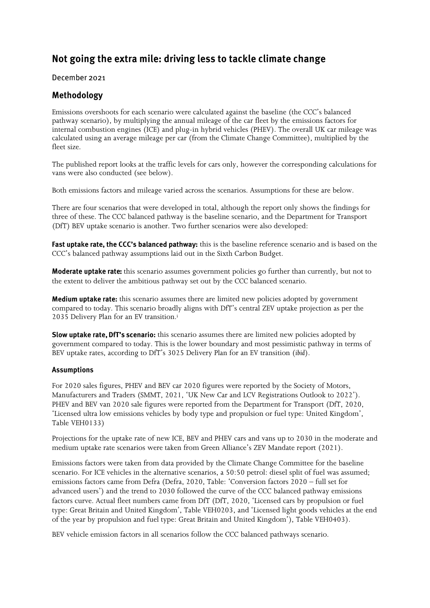# Not going the extra mile: driving less to tackle climate change

## December 2021

# Methodology

Emissions overshoots for each scenario were calculated against the baseline (the CCC's balanced pathway scenario), by multiplying the annual mileage of the car fleet by the emissions factors for internal combustion engines (ICE) and plug-in hybrid vehicles (PHEV). The overall UK car mileage was calculated using an average mileage per car (from the Climate Change Committee), multiplied by the fleet size.

The published report looks at the traffic levels for cars only, however the corresponding calculations for vans were also conducted (see below).

Both emissions factors and mileage varied across the scenarios. Assumptions for these are below.

There are four scenarios that were developed in total, although the report only shows the findings for three of these. The CCC balanced pathway is the baseline scenario, and the Department for Transport (DfT) BEV uptake scenario is another. Two further scenarios were also developed:

Fast uptake rate, the CCC's balanced pathway: this is the baseline reference scenario and is based on the CCC's balanced pathway assumptions laid out in the Sixth Carbon Budget.

**Moderate uptake rate:** this scenario assumes government policies go further than currently, but not to the extent to deliver the ambitious pathway set out by the CCC balanced scenario.

**Medium uptake rate:** this scenario assumes there are limited new policies adopted by government compared to today. This scenario broadly aligns with DfT's central ZEV uptake projection as per the 2035 Delivery Plan for an EV transition.<sup>i</sup>

Slow uptake rate, DfT's scenario: this scenario assumes there are limited new policies adopted by government compared to today. This is the lower boundary and most pessimistic pathway in terms of BEV uptake rates, according to DfT's 3025 Delivery Plan for an EV transition (*ibid*).

## **Assumptions**

For 2020 sales figures, PHEV and BEV car 2020 figures were reported by the Society of Motors, Manufacturers and Traders (SMMT, 2021, 'UK New Car and LCV Registrations Outlook to 2022'). PHEV and BEV van 2020 sale figures were reported from the Department for Transport (DfT, 2020, 'Licensed ultra low emissions vehicles by body type and propulsion or fuel type: United Kingdom', Table VEH0133)

Projections for the uptake rate of new ICE, BEV and PHEV cars and vans up to 2030 in the moderate and medium uptake rate scenarios were taken from Green Alliance's ZEV Mandate report (2021).

Emissions factors were taken from data provided by the Climate Change Committee for the baseline scenario. For ICE vehicles in the alternative scenarios, a 50:50 petrol: diesel split of fuel was assumed; emissions factors came from Defra (Defra, 2020, Table: 'Conversion factors 2020 – full set for advanced users') and the trend to 2030 followed the curve of the CCC balanced pathway emissions factors curve. Actual fleet numbers came from DfT (DfT, 2020, 'Licensed cars by propulsion or fuel type: Great Britain and United Kingdom', Table VEH0203, and 'Licensed light goods vehicles at the end of the year by propulsion and fuel type: Great Britain and United Kingdom'), Table VEH0403).

BEV vehicle emission factors in all scenarios follow the CCC balanced pathways scenario.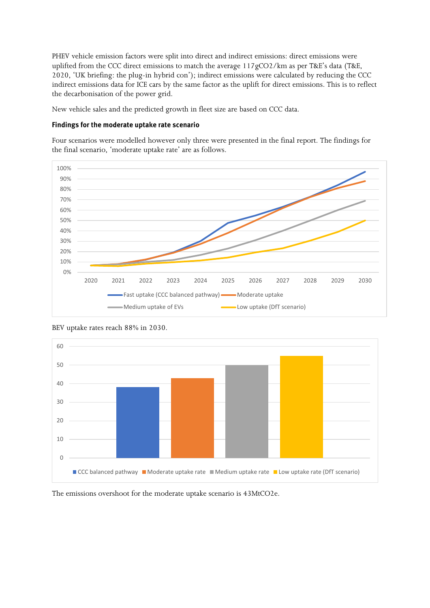PHEV vehicle emission factors were split into direct and indirect emissions: direct emissions were uplifted from the CCC direct emissions to match the average 117gCO2/km as per T&E's data (T&E, 2020, 'UK briefing: the plug-in hybrid con'); indirect emissions were calculated by reducing the CCC indirect emissions data for ICE cars by the same factor as the uplift for direct emissions. This is to reflect the decarbonisation of the power grid.

New vehicle sales and the predicted growth in fleet size are based on CCC data.

#### Findings for the moderate uptake rate scenario

Four scenarios were modelled however only three were presented in the final report. The findings for the final scenario, 'moderate uptake rate' are as follows.



BEV uptake rates reach 88% in 2030.



The emissions overshoot for the moderate uptake scenario is 43MtCO2e.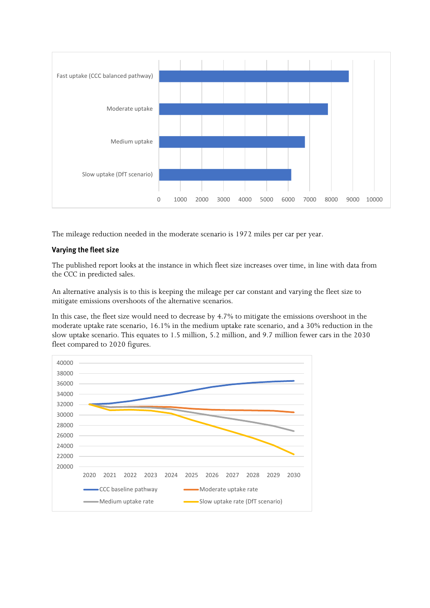

The mileage reduction needed in the moderate scenario is 1972 miles per car per year.

#### Varying the fleet size

The published report looks at the instance in which fleet size increases over time, in line with data from the CCC in predicted sales.

An alternative analysis is to this is keeping the mileage per car constant and varying the fleet size to mitigate emissions overshoots of the alternative scenarios.

In this case, the fleet size would need to decrease by 4.7% to mitigate the emissions overshoot in the moderate uptake rate scenario, 16.1% in the medium uptake rate scenario, and a 30% reduction in the slow uptake scenario. This equates to 1.5 million, 5.2 million, and 9.7 million fewer cars in the 2030 fleet compared to 2020 figures.

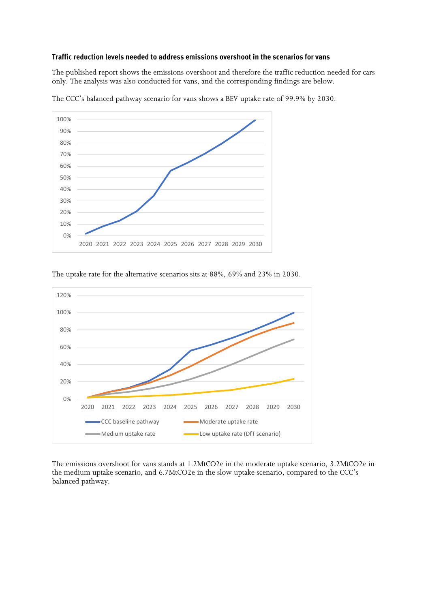#### Traffic reduction levels needed to address emissions overshoot in the scenarios for vans

The published report shows the emissions overshoot and therefore the traffic reduction needed for cars only. The analysis was also conducted for vans, and the corresponding findings are below.



The CCC's balanced pathway scenario for vans shows a BEV uptake rate of 99.9% by 2030.

#### The uptake rate for the alternative scenarios sits at 88%, 69% and 23% in 2030.



The emissions overshoot for vans stands at 1.2MtCO2e in the moderate uptake scenario, 3.2MtCO2e in the medium uptake scenario, and 6.7MtCO2e in the slow uptake scenario, compared to the CCC's balanced pathway.